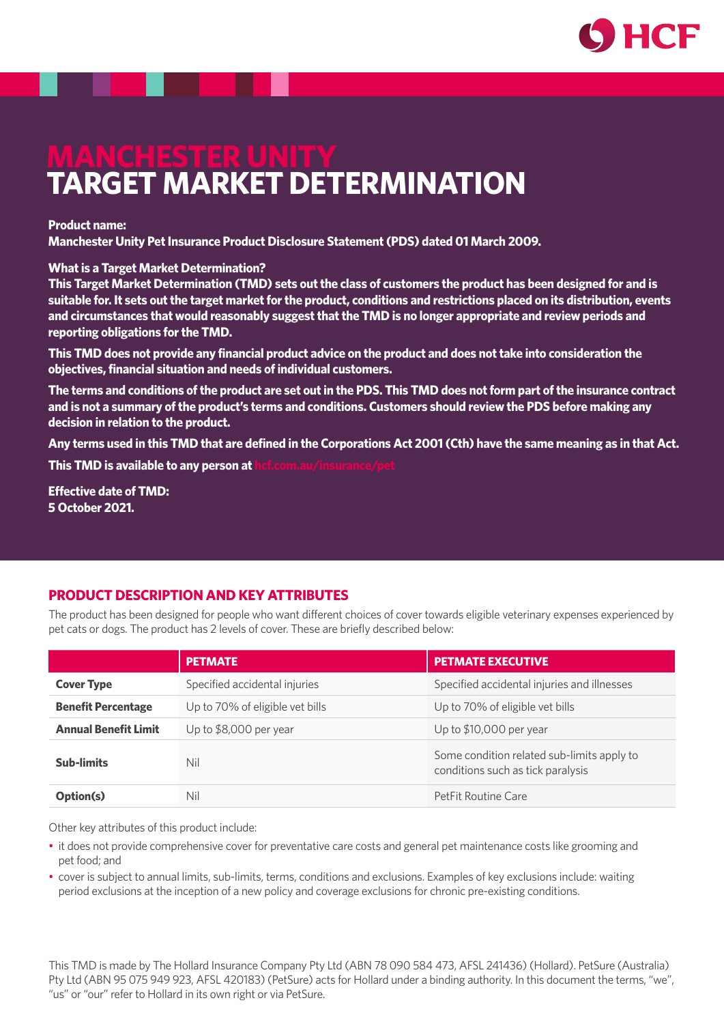

# **MANCHESTER UNITY TARGET MARKET DETERMINATION**

#### **Product name:**

**Manchester Unity Pet Insurance Product Disclosure Statement (PDS) dated 01 March 2009.**

#### **What is a Target Market Determination?**

**This Target Market Determination (TMD) sets out the class of customers the product has been designed for and is suitable for. It sets out the target market for the product, conditions and restrictions placed on its distribution, events and circumstances that would reasonably suggest that the TMD is no longer appropriate and review periods and reporting obligations for the TMD.**

**This TMD does not provide any financial product advice on the product and does not take into consideration the objectives, financial situation and needs of individual customers.**

**The terms and conditions of the product are set out in the PDS. This TMD does not form part of the insurance contract and is not a summary of the product's terms and conditions. Customers should review the PDS before making any decision in relation to the product.**

**Any terms used in this TMD that are defined in the Corporations Act 2001 (Cth) have the same meaning as in that Act. This TMD is available to any person at** 

**Effective date of TMD: 5 October 2021.**

# **PRODUCT DESCRIPTION AND KEY ATTRIBUTES**

The product has been designed for people who want different choices of cover towards eligible veterinary expenses experienced by pet cats or dogs. The product has 2 levels of cover. These are briefly described below:

|                             | <b>PETMATE</b>                  | <b>PETMATE EXECUTIVE</b>                                                        |
|-----------------------------|---------------------------------|---------------------------------------------------------------------------------|
| <b>Cover Type</b>           | Specified accidental injuries   | Specified accidental injuries and illnesses                                     |
| <b>Benefit Percentage</b>   | Up to 70% of eligible vet bills | Up to 70% of eligible vet bills                                                 |
| <b>Annual Benefit Limit</b> | Up to $$8,000$ per year         | Up to $$10,000$ per year                                                        |
| <b>Sub-limits</b>           | Nil                             | Some condition related sub-limits apply to<br>conditions such as tick paralysis |
| Option(s)                   | Nil                             | PetFit Routine Care                                                             |

Other key attributes of this product include:

- it does not provide comprehensive cover for preventative care costs and general pet maintenance costs like grooming and pet food; and
- cover is subject to annual limits, sub-limits, terms, conditions and exclusions. Examples of key exclusions include: waiting period exclusions at the inception of a new policy and coverage exclusions for chronic pre-existing conditions.

This TMD is made by The Hollard Insurance Company Pty Ltd (ABN 78 090 584 473, AFSL 241436) (Hollard). PetSure (Australia) Pty Ltd (ABN 95 075 949 923, AFSL 420183) (PetSure) acts for Hollard under a binding authority. In this document the terms, "we", "us" or "our" refer to Hollard in its own right or via PetSure.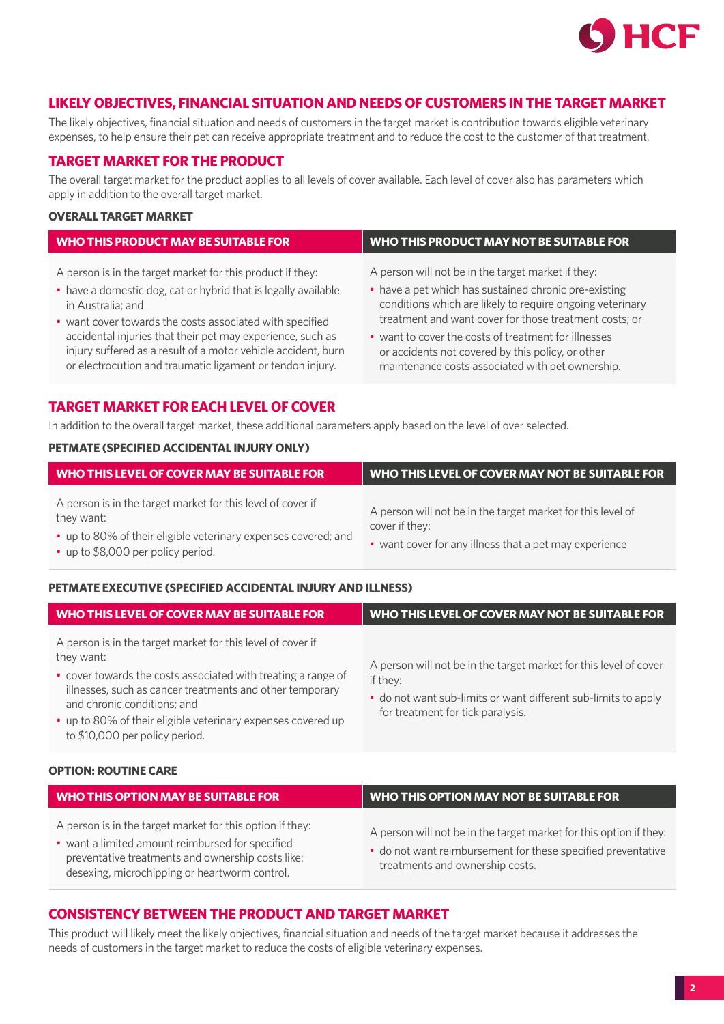

## **LIKELY OBJECTIVES, FINANCIAL SITUATION AND NEEDS OF CUSTOMERS IN THE TARGET MARKET**

The likely objectives, financial situation and needs of customers in the target market is contribution towards eligible veterinary expenses, to help ensure their pet can receive appropriate treatment and to reduce the cost to the customer of that treatment.

# **TARGET MARKET FOR THE PRODUCT**

The overall target market for the product applies to all levels of cover available. Each level of cover also has parameters which apply in addition to the overall target market.

## **OVERALL TARGET MARKET**

| <b>WHO THIS PRODUCT MAY BE SUITABLE FOR</b>                    | <b>WHO THIS PRODUCT MAY NOT BE SUITABLE FOR</b>           |
|----------------------------------------------------------------|-----------------------------------------------------------|
| A person is in the target market for this product if they:     | A person will not be in the target market if they:        |
| • have a domestic dog, cat or hybrid that is legally available | • have a pet which has sustained chronic pre-existing     |
| in Australia; and                                              | conditions which are likely to require ongoing veterinary |
| • want cover towards the costs associated with specified       | treatment and want cover for those treatment costs; or    |
| accidental injuries that their pet may experience, such as     | • want to cover the costs of treatment for illnesses      |
| injury suffered as a result of a motor vehicle accident, burn  | or accidents not covered by this policy, or other         |
| or electrocution and traumatic ligament or tendon injury.      | maintenance costs associated with pet ownership.          |

## **TARGET MARKET FOR EACH LEVEL OF COVER**

In addition to the overall target market, these additional parameters apply based on the level of over selected.

## **PETMATE (SPECIFIED ACCIDENTAL INJURY ONLY)**

| WHO THIS LEVEL OF COVER MAY BE SUITABLE FOR                                                                                                                                       | WHO THIS LEVEL OF COVER MAY NOT BE SUITABLE FOR                                                                                         |
|-----------------------------------------------------------------------------------------------------------------------------------------------------------------------------------|-----------------------------------------------------------------------------------------------------------------------------------------|
| A person is in the target market for this level of cover if<br>they want:<br>• up to 80% of their eligible veterinary expenses covered; and<br>• up to \$8,000 per policy period. | A person will not be in the target market for this level of<br>cover if they:<br>• want cover for any illness that a pet may experience |

#### **PETMATE EXECUTIVE (SPECIFIED ACCIDENTAL INJURY AND ILLNESS)**

| WHO THIS LEVEL OF COVER MAY BE SUITABLE FOR                                                                                                                                                                                                                                                                                             | WHO THIS LEVEL OF COVER MAY NOT BE SUITABLE FOR                                                                                                                                      |
|-----------------------------------------------------------------------------------------------------------------------------------------------------------------------------------------------------------------------------------------------------------------------------------------------------------------------------------------|--------------------------------------------------------------------------------------------------------------------------------------------------------------------------------------|
| A person is in the target market for this level of cover if<br>they want:<br>• cover towards the costs associated with treating a range of<br>illnesses, such as cancer treatments and other temporary<br>and chronic conditions; and<br>• up to 80% of their eligible veterinary expenses covered up<br>to \$10,000 per policy period. | A person will not be in the target market for this level of cover<br>if they:<br>• do not want sub-limits or want different sub-limits to apply<br>for treatment for tick paralysis. |

#### **OPTION: ROUTINE CARE**

| <b>WHO THIS OPTION MAY BE SUITABLE FOR</b>                                                                                                                                                                          | <b>WHO THIS OPTION MAY NOT BE SUITABLE FOR</b>                                                                                                                        |
|---------------------------------------------------------------------------------------------------------------------------------------------------------------------------------------------------------------------|-----------------------------------------------------------------------------------------------------------------------------------------------------------------------|
| A person is in the target market for this option if they:<br>• want a limited amount reimbursed for specified<br>preventative treatments and ownership costs like:<br>desexing, microchipping or heartworm control. | A person will not be in the target market for this option if they:<br>• do not want reimbursement for these specified preventative<br>treatments and ownership costs. |

# **CONSISTENCY BETWEEN THE PRODUCT AND TARGET MARKET**

This product will likely meet the likely objectives, financial situation and needs of the target market because it addresses the needs of customers in the target market to reduce the costs of eligible veterinary expenses.